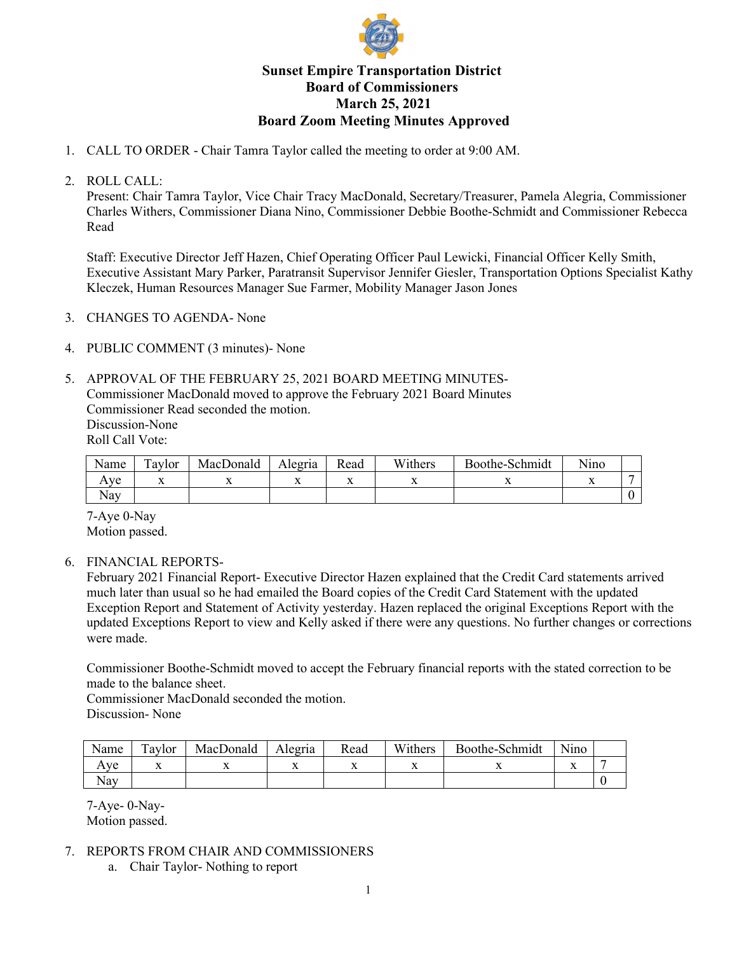

## **Sunset Empire Transportation District Board of Commissioners March 25, 2021 Board Zoom Meeting Minutes Approved**

1. CALL TO ORDER - Chair Tamra Taylor called the meeting to order at 9:00 AM.

## 2. ROLL CALL:

Present: Chair Tamra Taylor, Vice Chair Tracy MacDonald, Secretary/Treasurer, Pamela Alegria, Commissioner Charles Withers, Commissioner Diana Nino, Commissioner Debbie Boothe-Schmidt and Commissioner Rebecca Read

Staff: Executive Director Jeff Hazen, Chief Operating Officer Paul Lewicki, Financial Officer Kelly Smith, Executive Assistant Mary Parker, Paratransit Supervisor Jennifer Giesler, Transportation Options Specialist Kathy Kleczek, Human Resources Manager Sue Farmer, Mobility Manager Jason Jones

- 3. CHANGES TO AGENDA- None
- 4. PUBLIC COMMENT (3 minutes)- None
- 5. APPROVAL OF THE FEBRUARY 25, 2021 BOARD MEETING MINUTES-Commissioner MacDonald moved to approve the February 2021 Board Minutes Commissioner Read seconded the motion. Discussion-None Roll Call Vote:

| Name | m<br><b>Taylor</b> | MacDonald | Alegria | Read | Withers | -Schmidt<br><b>Boothe-:</b> | .<br>Nino |  |
|------|--------------------|-----------|---------|------|---------|-----------------------------|-----------|--|
| ve   | ∡⊾                 |           |         |      |         |                             |           |  |
| Nav  |                    |           |         |      |         |                             |           |  |

7-Aye 0-Nay Motion passed.

6. FINANCIAL REPORTS-

February 2021 Financial Report- Executive Director Hazen explained that the Credit Card statements arrived much later than usual so he had emailed the Board copies of the Credit Card Statement with the updated Exception Report and Statement of Activity yesterday. Hazen replaced the original Exceptions Report with the updated Exceptions Report to view and Kelly asked if there were any questions. No further changes or corrections were made.

Commissioner Boothe-Schmidt moved to accept the February financial reports with the stated correction to be made to the balance sheet.

Commissioner MacDonald seconded the motion. Discussion- None

| Name                | $\mathbf{r}$<br>`aylor | MacDonald | Alegria | Read | Withers | Boothe-Schmidt | Nino |  |
|---------------------|------------------------|-----------|---------|------|---------|----------------|------|--|
| Ave                 | . .                    |           |         |      |         |                |      |  |
| $\mathbf{r}$<br>Nay |                        |           |         |      |         |                |      |  |

7-Aye- 0-Nay-Motion passed.

## 7. REPORTS FROM CHAIR AND COMMISSIONERS

a. Chair Taylor- Nothing to report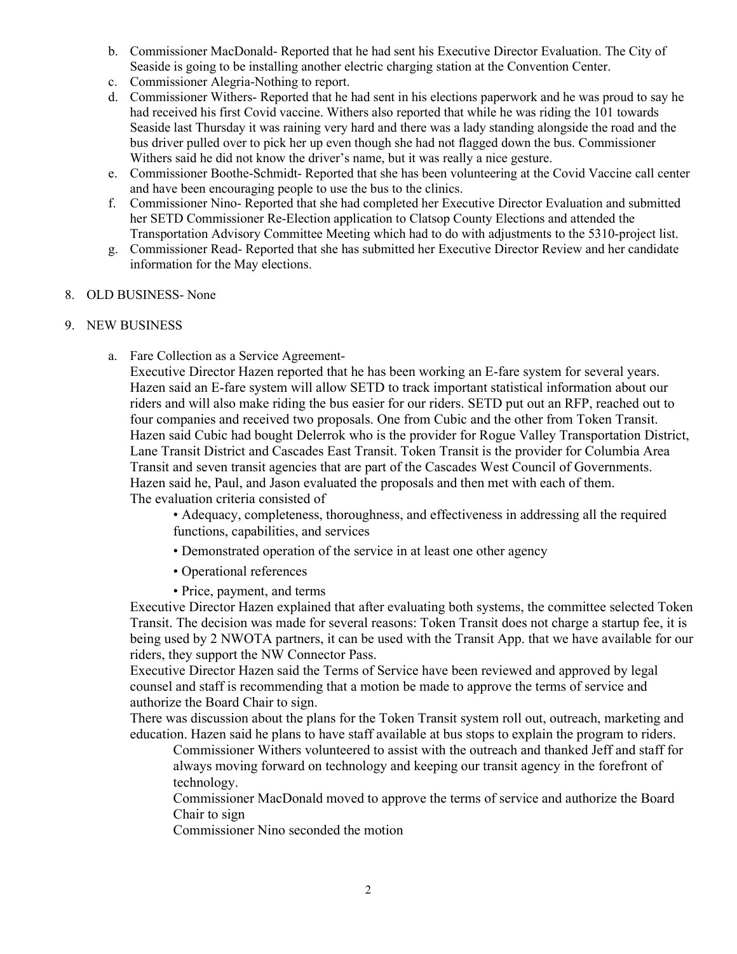- b. Commissioner MacDonald- Reported that he had sent his Executive Director Evaluation. The City of Seaside is going to be installing another electric charging station at the Convention Center.
- c. Commissioner Alegria-Nothing to report.
- d. Commissioner Withers- Reported that he had sent in his elections paperwork and he was proud to say he had received his first Covid vaccine. Withers also reported that while he was riding the 101 towards Seaside last Thursday it was raining very hard and there was a lady standing alongside the road and the bus driver pulled over to pick her up even though she had not flagged down the bus. Commissioner Withers said he did not know the driver's name, but it was really a nice gesture.
- e. Commissioner Boothe-Schmidt- Reported that she has been volunteering at the Covid Vaccine call center and have been encouraging people to use the bus to the clinics.
- f. Commissioner Nino- Reported that she had completed her Executive Director Evaluation and submitted her SETD Commissioner Re-Election application to Clatsop County Elections and attended the Transportation Advisory Committee Meeting which had to do with adjustments to the 5310-project list.
- g. Commissioner Read- Reported that she has submitted her Executive Director Review and her candidate information for the May elections.
- 8. OLD BUSINESS- None

## 9. NEW BUSINESS

a. Fare Collection as a Service Agreement-

Executive Director Hazen reported that he has been working an E-fare system for several years. Hazen said an E-fare system will allow SETD to track important statistical information about our riders and will also make riding the bus easier for our riders. SETD put out an RFP, reached out to four companies and received two proposals. One from Cubic and the other from Token Transit. Hazen said Cubic had bought Delerrok who is the provider for Rogue Valley Transportation District, Lane Transit District and Cascades East Transit. Token Transit is the provider for Columbia Area Transit and seven transit agencies that are part of the Cascades West Council of Governments. Hazen said he, Paul, and Jason evaluated the proposals and then met with each of them. The evaluation criteria consisted of

• Adequacy, completeness, thoroughness, and effectiveness in addressing all the required functions, capabilities, and services

- Demonstrated operation of the service in at least one other agency
- Operational references
- Price, payment, and terms

Executive Director Hazen explained that after evaluating both systems, the committee selected Token Transit. The decision was made for several reasons: Token Transit does not charge a startup fee, it is being used by 2 NWOTA partners, it can be used with the Transit App. that we have available for our riders, they support the NW Connector Pass.

Executive Director Hazen said the Terms of Service have been reviewed and approved by legal counsel and staff is recommending that a motion be made to approve the terms of service and authorize the Board Chair to sign.

There was discussion about the plans for the Token Transit system roll out, outreach, marketing and education. Hazen said he plans to have staff available at bus stops to explain the program to riders.

Commissioner Withers volunteered to assist with the outreach and thanked Jeff and staff for always moving forward on technology and keeping our transit agency in the forefront of technology.

Commissioner MacDonald moved to approve the terms of service and authorize the Board Chair to sign

Commissioner Nino seconded the motion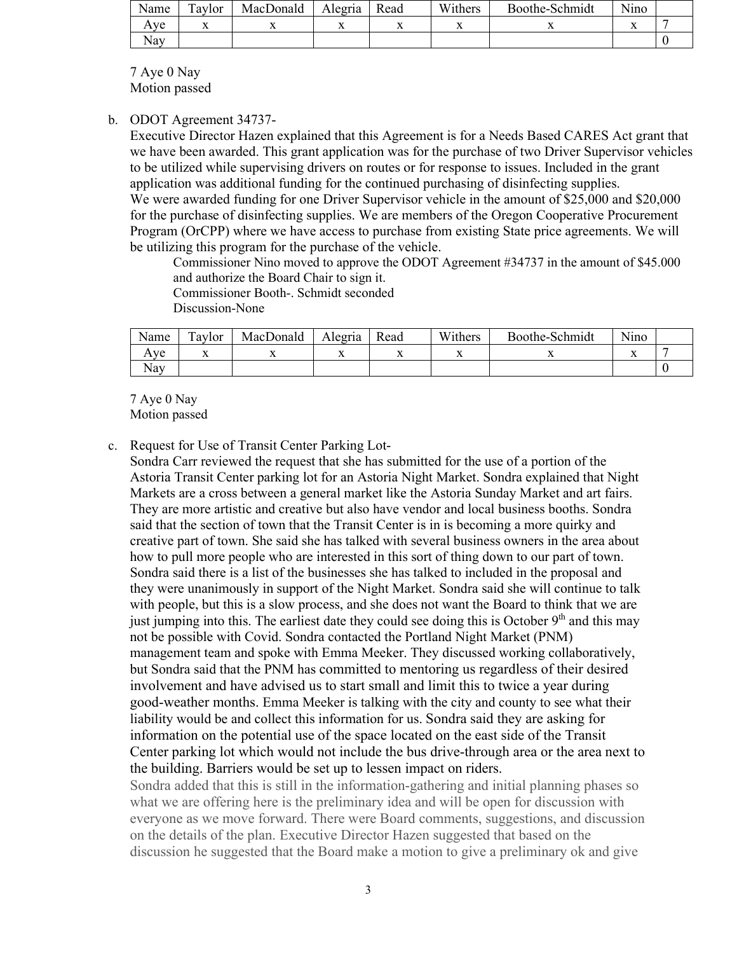| Name | Taylor | MacDonald | Alegria | Read | Withers | Boothe-Schmidt | Nino |  |
|------|--------|-----------|---------|------|---------|----------------|------|--|
| Aye  |        |           |         | "    |         | . .            |      |  |
| Nay  |        |           |         |      |         |                |      |  |

7 Aye 0 Nay Motion passed

b. ODOT Agreement 34737-

Executive Director Hazen explained that this Agreement is for a Needs Based CARES Act grant that we have been awarded. This grant application was for the purchase of two Driver Supervisor vehicles to be utilized while supervising drivers on routes or for response to issues. Included in the grant application was additional funding for the continued purchasing of disinfecting supplies. We were awarded funding for one Driver Supervisor vehicle in the amount of \$25,000 and \$20,000

for the purchase of disinfecting supplies. We are members of the Oregon Cooperative Procurement Program (OrCPP) where we have access to purchase from existing State price agreements. We will be utilizing this program for the purchase of the vehicle.

Commissioner Nino moved to approve the ODOT Agreement #34737 in the amount of \$45.000 and authorize the Board Chair to sign it.

Commissioner Booth-. Schmidt seconded

Discussion-None

| Name              | Taylor | MacDonald | Alegria | Read | Withers | Boothe-Schmidt | $\cdot$ $\cdot$<br>N1no |  |
|-------------------|--------|-----------|---------|------|---------|----------------|-------------------------|--|
| Ave               |        |           | "       |      |         |                |                         |  |
| $\sqrt{ }$<br>Nav |        |           |         |      |         |                |                         |  |

7 Aye 0 Nay Motion passed

c. Request for Use of Transit Center Parking Lot-

Sondra Carr reviewed the request that she has submitted for the use of a portion of the Astoria Transit Center parking lot for an Astoria Night Market. Sondra explained that Night Markets are a cross between a general market like the Astoria Sunday Market and art fairs. They are more artistic and creative but also have vendor and local business booths. Sondra said that the section of town that the Transit Center is in is becoming a more quirky and creative part of town. She said she has talked with several business owners in the area about how to pull more people who are interested in this sort of thing down to our part of town. Sondra said there is a list of the businesses she has talked to included in the proposal and they were unanimously in support of the Night Market. Sondra said she will continue to talk with people, but this is a slow process, and she does not want the Board to think that we are just jumping into this. The earliest date they could see doing this is October 9<sup>th</sup> and this may not be possible with Covid. Sondra contacted the Portland Night Market (PNM) management team and spoke with Emma Meeker. They discussed working collaboratively, but Sondra said that the PNM has committed to mentoring us regardless of their desired involvement and have advised us to start small and limit this to twice a year during good-weather months. Emma Meeker is talking with the city and county to see what their liability would be and collect this information for us. Sondra said they are asking for information on the potential use of the space located on the east side of the Transit Center parking lot which would not include the bus drive-through area or the area next to the building. Barriers would be set up to lessen impact on riders.

Sondra added that this is still in the information-gathering and initial planning phases so what we are offering here is the preliminary idea and will be open for discussion with everyone as we move forward. There were Board comments, suggestions, and discussion on the details of the plan. Executive Director Hazen suggested that based on the discussion he suggested that the Board make a motion to give a preliminary ok and give